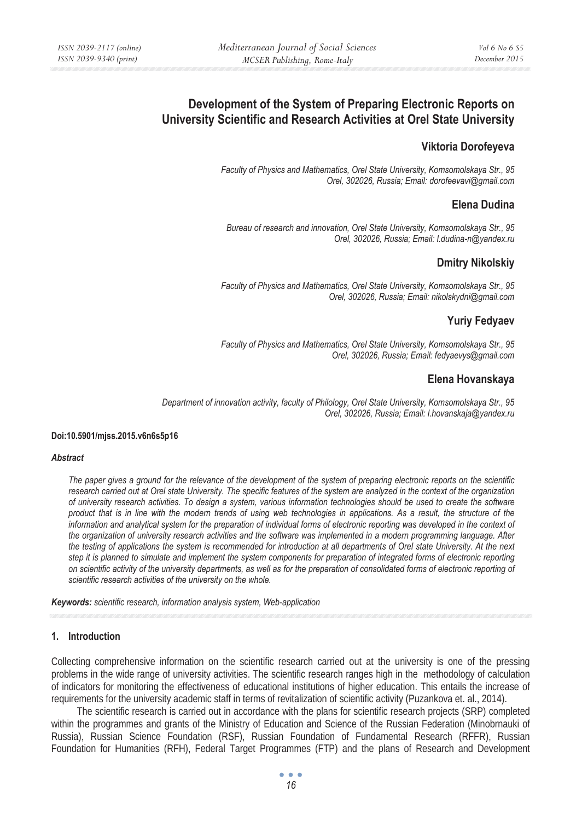# **Development of the System of Preparing Electronic Reports on University Scientific and Research Activities at Orel State University**

# **Viktoria Dorofeyeva**

*Faculty of Physics and Mathematics, Orel State University, Komsomolskaya Str., 95 Orel, 302026, Russia; Email: dorofeevavi@gmail.com* 

### **Elena Dudina**

*Bureau of research and innovation, Orel State University, Komsomolskaya Str., 95 Orel, 302026, Russia; Email: l.dudina-n@yandex.ru* 

# **Dmitry Nikolskiy**

*Faculty of Physics and Mathematics, Orel State University, Komsomolskaya Str., 95 Orel, 302026, Russia; Email: nikolskydni@gmail.com* 

# **Yuriy Fedyaev**

*Faculty of Physics and Mathematics, Orel State University, Komsomolskaya Str., 95 Orel, 302026, Russia; Email: fedyaevys@gmail.com* 

# **Elena Hovanskaya**

*Department of innovation activity, faculty of Philology, Orel State University, Komsomolskaya Str., 95 Orel, 302026, Russia; Email: l.hovanskaja@yandex.ru* 

#### **Doi:10.5901/mjss.2015.v6n6s5p16**

#### *Abstract*

*The paper gives a ground for the relevance of the development of the system of preparing electronic reports on the scientific research carried out at Orel state University. The specific features of the system are analyzed in the context of the organization of university research activities. To design a system, various information technologies should be used to create the software product that is in line with the modern trends of using web technologies in applications. As a result, the structure of the*  information and analytical system for the preparation of individual forms of electronic reporting was developed in the context of *the organization of university research activities and the software was implemented in a modern programming language. After the testing of applications the system is recommended for introduction at all departments of Orel state University. At the next step it is planned to simulate and implement the system components for preparation of integrated forms of electronic reporting on scientific activity of the university departments, as well as for the preparation of consolidated forms of electronic reporting of scientific research activities of the university on the whole.* 

*Keywords: scientific research, information analysis system, Web-application*

#### **1. Introduction**

Collecting comprehensive information on the scientific research carried out at the university is one of the pressing problems in the wide range of university activities. The scientific research ranges high in the methodology of calculation of indicators for monitoring the effectiveness of educational institutions of higher education. This entails the increase of requirements for the university academic staff in terms of revitalization of scientific activity (Puzankova et. al., 2014).

The scientific research is carried out in accordance with the plans for scientific research projects (SRP) completed within the programmes and grants of the Ministry of Education and Science of the Russian Federation (Minobrnauki of Russia), Russian Science Foundation (RSF), Russian Foundation of Fundamental Research (RFFR), Russian Foundation for Humanities (RFH), Federal Target Programmes (FTP) and the plans of Research and Development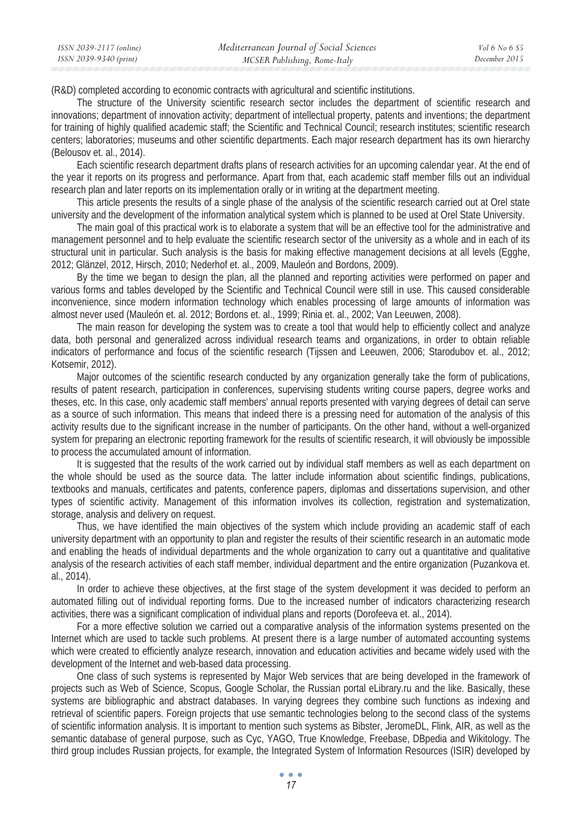(R&D) completed according to economic contracts with agricultural and scientific institutions.

The structure of the University scientific research sector includes the department of scientific research and innovations; department of innovation activity; department of intellectual property, patents and inventions; the department for training of highly qualified academic staff; the Scientific and Technical Council; research institutes; scientific research centers; laboratories; museums and other scientific departments. Each major research department has its own hierarchy (Belousov et. al., 2014).

Each scientific research department drafts plans of research activities for an upcoming calendar year. At the end of the year it reports on its progress and performance. Apart from that, each academic staff member fills out an individual research plan and later reports on its implementation orally or in writing at the department meeting.

This article presents the results of a single phase of the analysis of the scientific research carried out at Orel state university and the development of the information analytical system which is planned to be used at Orel State University.

The main goal of this practical work is to elaborate a system that will be an effective tool for the administrative and management personnel and to help evaluate the scientific research sector of the university as a whole and in each of its structural unit in particular. Such analysis is the basis for making effective management decisions at all levels (Egghe, 2012; Glänzel, 2012, Hirsch, 2010; Nederhof et. al., 2009, Mauleón and Bordons, 2009).

By the time we began to design the plan, all the planned and reporting activities were performed on paper and various forms and tables developed by the Scientific and Technical Council were still in use. This caused considerable inconvenience, since modern information technology which enables processing of large amounts of information was almost never used (Mauleón et. al. 2012; Bordons et. al., 1999; Rinia et. al., 2002; Van Leeuwen, 2008).

The main reason for developing the system was to create a tool that would help to efficiently collect and analyze data, both personal and generalized across individual research teams and organizations, in order to obtain reliable indicators of performance and focus of the scientific research (Tijssen and Leeuwen, 2006; Starodubov et. al., 2012; Kotsemir, 2012).

Major outcomes of the scientific research conducted by any organization generally take the form of publications, results of patent research, participation in conferences, supervising students writing course papers, degree works and theses, etc. In this case, only academic staff members' annual reports presented with varying degrees of detail can serve as a source of such information. This means that indeed there is a pressing need for automation of the analysis of this activity results due to the significant increase in the number of participants. On the other hand, without a well-organized system for preparing an electronic reporting framework for the results of scientific research, it will obviously be impossible to process the accumulated amount of information.

It is suggested that the results of the work carried out by individual staff members as well as each department on the whole should be used as the source data. The latter include information about scientific findings, publications, textbooks and manuals, certificates and patents, conference papers, diplomas and dissertations supervision, and other types of scientific activity. Management of this information involves its collection, registration and systematization, storage, analysis and delivery on request.

Thus, we have identified the main objectives of the system which include providing an academic staff of each university department with an opportunity to plan and register the results of their scientific research in an automatic mode and enabling the heads of individual departments and the whole organization to carry out a quantitative and qualitative analysis of the research activities of each staff member, individual department and the entire organization (Puzankova et. al., 2014).

In order to achieve these objectives, at the first stage of the system development it was decided to perform an automated filling out of individual reporting forms. Due to the increased number of indicators characterizing research activities, there was a significant complication of individual plans and reports (Dorofeeva et. al., 2014).

For a more effective solution we carried out a comparative analysis of the information systems presented on the Internet which are used to tackle such problems. At present there is a large number of automated accounting systems which were created to efficiently analyze research, innovation and education activities and became widely used with the development of the Internet and web-based data processing.

One class of such systems is represented by Major Web services that are being developed in the framework of projects such as Web of Science, Scopus, Google Scholar, the Russian portal eLibrary.ru and the like. Basically, these systems are bibliographic and abstract databases. In varying degrees they combine such functions as indexing and retrieval of scientific papers. Foreign projects that use semantic technologies belong to the second class of the systems of scientific information analysis. It is important to mention such systems as Bibster, JeromeDL, Flink, AIR, as well as the semantic database of general purpose, such as Cyc, YAGO, True Knowledge, Freebase, DBpedia and Wikitology. The third group includes Russian projects, for example, the Integrated System of Information Resources (ISIR) developed by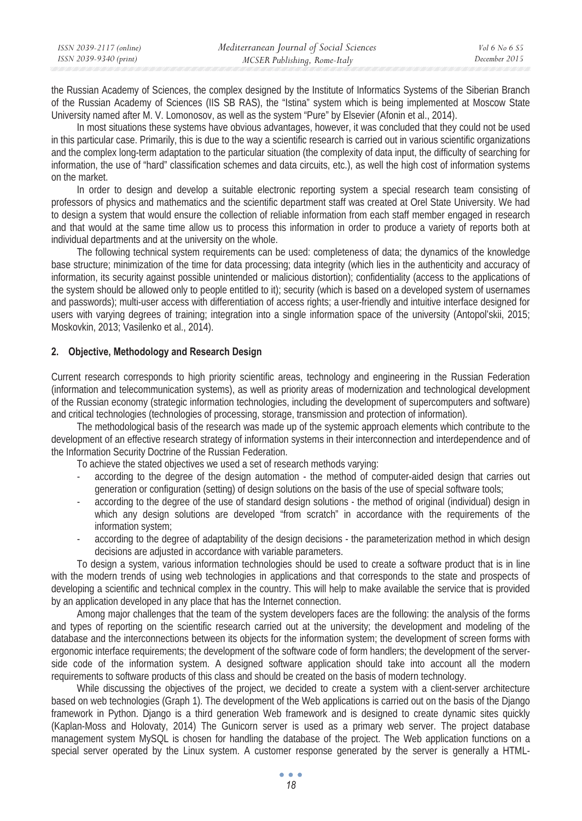| ISSN 2039-2117 (online) | Mediterranean Journal of Social Sciences | Vol 6 No 6 S5 |
|-------------------------|------------------------------------------|---------------|
| ISSN 2039-9340 (print)  | MCSER Publishing, Rome-Italy             | December 2015 |

the Russian Academy of Sciences, the complex designed by the Institute of Informatics Systems of the Siberian Branch of the Russian Academy of Sciences (IIS SB RAS), the "Istina" system which is being implemented at Moscow State University named after M. V. Lomonosov, as well as the system "Pure" by Elsevier (Afonin et al., 2014).

In most situations these systems have obvious advantages, however, it was concluded that they could not be used in this particular case. Primarily, this is due to the way a scientific research is carried out in various scientific organizations and the complex long-term adaptation to the particular situation (the complexity of data input, the difficulty of searching for information, the use of "hard" classification schemes and data circuits, etc.), as well the high cost of information systems on the market.

In order to design and develop a suitable electronic reporting system a special research team consisting of professors of physics and mathematics and the scientific department staff was created at Orel State University. We had to design a system that would ensure the collection of reliable information from each staff member engaged in research and that would at the same time allow us to process this information in order to produce a variety of reports both at individual departments and at the university on the whole.

The following technical system requirements can be used: completeness of data; the dynamics of the knowledge base structure; minimization of the time for data processing; data integrity (which lies in the authenticity and accuracy of information, its security against possible unintended or malicious distortion); confidentiality (access to the applications of the system should be allowed only to people entitled to it); security (which is based on a developed system of usernames and passwords); multi-user access with differentiation of access rights; a user-friendly and intuitive interface designed for users with varying degrees of training; integration into a single information space of the university (Antopol'skii, 2015; Moskovkin, 2013; Vasilenko et al., 2014).

### **2. Objective, Methodology and Research Design**

Current research corresponds to high priority scientific areas, technology and engineering in the Russian Federation (information and telecommunication systems), as well as priority areas of modernization and technological development of the Russian economy (strategic information technologies, including the development of supercomputers and software) and critical technologies (technologies of processing, storage, transmission and protection of information).

The methodological basis of the research was made up of the systemic approach elements which contribute to the development of an effective research strategy of information systems in their interconnection and interdependence and of the Information Security Doctrine of the Russian Federation.

To achieve the stated objectives we used a set of research methods varying:

- according to the degree of the design automation the method of computer-aided design that carries out generation or configuration (setting) of design solutions on the basis of the use of special software tools;
- according to the degree of the use of standard design solutions the method of original (individual) design in which any design solutions are developed "from scratch" in accordance with the requirements of the information system;
- according to the degree of adaptability of the design decisions the parameterization method in which design decisions are adjusted in accordance with variable parameters.

To design a system, various information technologies should be used to create a software product that is in line with the modern trends of using web technologies in applications and that corresponds to the state and prospects of developing a scientific and technical complex in the country. This will help to make available the service that is provided by an application developed in any place that has the Internet connection.

Among major challenges that the team of the system developers faces are the following: the analysis of the forms and types of reporting on the scientific research carried out at the university; the development and modeling of the database and the interconnections between its objects for the information system; the development of screen forms with ergonomic interface requirements; the development of the software code of form handlers; the development of the serverside code of the information system. A designed software application should take into account all the modern requirements to software products of this class and should be created on the basis of modern technology.

While discussing the objectives of the project, we decided to create a system with a client-server architecture based on web technologies (Graph 1). The development of the Web applications is carried out on the basis of the Django framework in Python. Django is a third generation Web framework and is designed to create dynamic sites quickly (Kaplan-Moss and Holovaty, 2014) The Gunicorn server is used as a primary web server. The project database management system MySQL is chosen for handling the database of the project. The Web application functions on a special server operated by the Linux system. A customer response generated by the server is generally a HTML-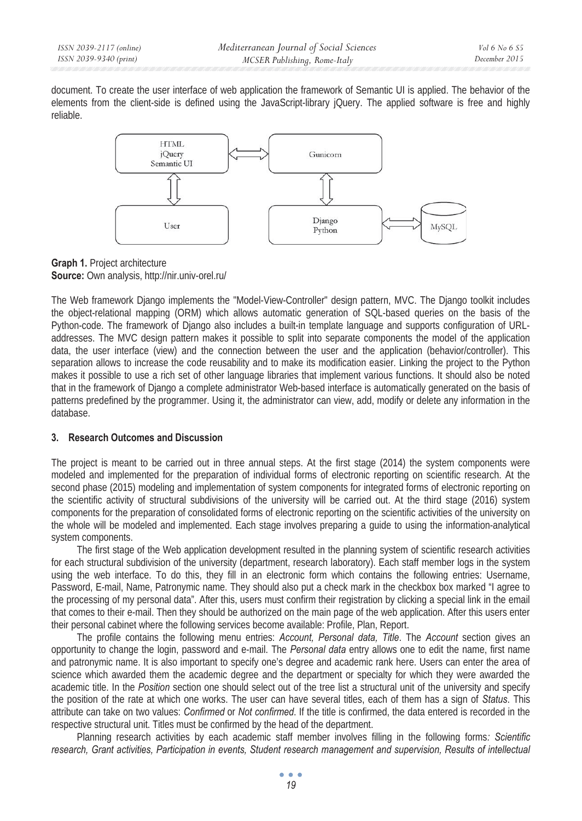document. To create the user interface of web application the framework of Semantic UI is applied. The behavior of the elements from the client-side is defined using the JavaScript-library jQuery. The applied software is free and highly reliable.



### **Graph 1.** Project architecture **Source:** Own analysis, http://nir.univ-orel.ru/

The Web framework Django implements the "Model-View-Controller" design pattern, MVC. The Django toolkit includes the object-relational mapping (ORM) which allows automatic generation of SQL-based queries on the basis of the Python-code. The framework of Django also includes a built-in template language and supports configuration of URLaddresses. The MVC design pattern makes it possible to split into separate components the model of the application data, the user interface (view) and the connection between the user and the application (behavior/controller). This separation allows to increase the code reusability and to make its modification easier. Linking the project to the Python makes it possible to use a rich set of other language libraries that implement various functions. It should also be noted that in the framework of Django a complete administrator Web-based interface is automatically generated on the basis of patterns predefined by the programmer. Using it, the administrator can view, add, modify or delete any information in the database.

# **3. Research Outcomes and Discussion**

The project is meant to be carried out in three annual steps. At the first stage (2014) the system components were modeled and implemented for the preparation of individual forms of electronic reporting on scientific research. At the second phase (2015) modeling and implementation of system components for integrated forms of electronic reporting on the scientific activity of structural subdivisions of the university will be carried out. At the third stage (2016) system components for the preparation of consolidated forms of electronic reporting on the scientific activities of the university on the whole will be modeled and implemented. Each stage involves preparing a guide to using the information-analytical system components.

The first stage of the Web application development resulted in the planning system of scientific research activities for each structural subdivision of the university (department, research laboratory). Each staff member logs in the system using the web interface. To do this, they fill in an electronic form which contains the following entries: Username, Password, E-mail, Name, Patronymic name. They should also put a check mark in the checkbox box marked "I agree to the processing of my personal data". After this, users must confirm their registration by clicking a special link in the email that comes to their e-mail. Then they should be authorized on the main page of the web application. After this users enter their personal cabinet where the following services become available: Profile, Plan, Report.

The profile contains the following menu entries: *Account, Personal data, Title*. The *Account* section gives an opportunity to change the login, password and e-mail. The *Personal data* entry allows one to edit the name, first name and patronymic name. It is also important to specify one's degree and academic rank here. Users can enter the area of science which awarded them the academic degree and the department or specialty for which they were awarded the academic title. In the *Position* section one should select out of the tree list a structural unit of the university and specify the position of the rate at which one works. The user can have several titles, each of them has a sign of *Status*. This attribute can take on two values: *Confirmed* or *Not confirmed*. If the title is confirmed, the data entered is recorded in the respective structural unit. Titles must be confirmed by the head of the department.

Planning research activities by each academic staff member involves filling in the following forms*: Scientific research, Grant activities, Participation in events, Student research management and supervision, Results of intellectual*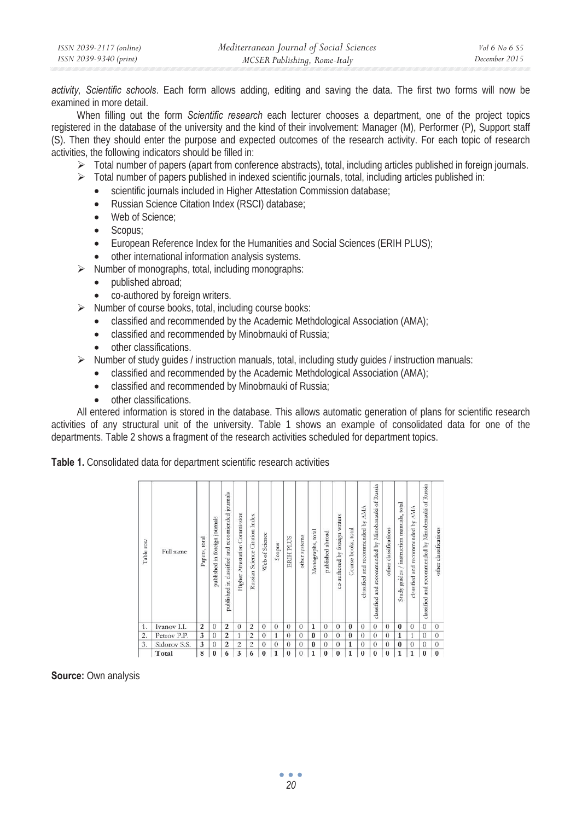*activity, Scientific schools*. Each form allows adding, editing and saving the data. The first two forms will now be examined in more detail.

When filling out the form *Scientific research* each lecturer chooses a department, one of the project topics registered in the database of the university and the kind of their involvement: Manager (M), Performer (P), Support staff (S). Then they should enter the purpose and expected outcomes of the research activity. For each topic of research activities, the following indicators should be filled in:

- $\triangleright$  Total number of papers (apart from conference abstracts), total, including articles published in foreign journals.
- $\triangleright$  Total number of papers published in indexed scientific journals, total, including articles published in:
	- scientific journals included in Higher Attestation Commission database;
	- Russian Science Citation Index (RSCI) database;
	- Web of Science:
	- Scopus:
	- European Reference Index for the Humanities and Social Sciences (ERIH PLUS);
	- other international information analysis systems.
- ¾ Number of monographs, total, including monographs:
	- published abroad:
	- co-authored by foreign writers.
- $\triangleright$  Number of course books, total, including course books:
	- classified and recommended by the Academic Methdological Association (AMA);
	- classified and recommended by Minobrnauki of Russia;
	- other classifications.
- $\triangleright$  Number of study quides / instruction manuals, total, including study quides / instruction manuals:
	- classified and recommended by the Academic Methdological Association (AMA);
	- classified and recommended by Minobrnauki of Russia;
	- other classifications.

All entered information is stored in the database. This allows automatic generation of plans for scientific research activities of any structural unit of the university. Table 1 shows an example of consolidated data for one of the departments. Table 2 shows a fragment of the research activities scheduled for department topics.

**Table 1.** Consolidated data for department scientific research activities

| Table row      | Full name    | total<br>Papers, | journals<br>foreign j<br>published in | journals<br>published in classified and recomiended | Commission<br>Attestation<br>Higher | Russian Science Citation Index | Web of Science | Scopus   | ERIH PLUS | other systems | Monographs, total | published abroad | co-authored by foreign writers | Course books, total | classified and recommended by AMA | classified and recommended by Minobrnauki of Russia | other classifications | $/$ instruction manuals, total<br>Study guides | classified and recommended by AMA | classified and recommended by Minobrnauki of Russia | other classifications |
|----------------|--------------|------------------|---------------------------------------|-----------------------------------------------------|-------------------------------------|--------------------------------|----------------|----------|-----------|---------------|-------------------|------------------|--------------------------------|---------------------|-----------------------------------|-----------------------------------------------------|-----------------------|------------------------------------------------|-----------------------------------|-----------------------------------------------------|-----------------------|
| 1.             | Ivanov I.I.  | $\overline{2}$   | $\Omega$                              | $\overline{2}$                                      | $\theta$                            | $\overline{c}$                 | $\theta$       | $\theta$ | $\theta$  | $\theta$      | 1                 | $\theta$         | $\theta$                       | $\bf{0}$            | $\Omega$                          | $\theta$                                            | $\theta$              | $\bf{0}$                                       | $\theta$                          | $\Omega$                                            | $\theta$              |
| $\overline{2}$ | Petrov P.P.  | 3                | $\theta$                              | $\overline{2}$                                      | 1                                   | $\overline{c}$                 | $\Omega$       | 1        | $\Omega$  | $\Omega$      | $\bf{0}$          | $\Omega$         | $\theta$                       | $\bf{0}$            | $\theta$                          | $\Omega$                                            | $\theta$              | 1                                              | 1                                 | $\Omega$                                            | $\theta$              |
| 3.             | Sidorov S.S. | 3                | $\theta$                              | $\overline{2}$                                      | $\overline{c}$                      | $\overline{c}$                 | $\theta$       | $\theta$ | $\theta$  | $\theta$      | $\bf{0}$          | $\theta$         | $\theta$                       | 1                   | $\theta$                          | $\theta$                                            | $\Omega$              | $\theta$                                       | $\theta$                          | $\Omega$                                            | $\mathbf{0}$          |
|                | Total        | 8                | $\bf{0}$                              | 6                                                   | 3                                   | 6                              | $\theta$       | 1        | $\theta$  | $\Omega$      | 1                 | $\bf{0}$         | $\bf{0}$                       | $\mathbf{1}$        | $\bf{0}$                          | $\bf{0}$                                            | $\bf{0}$              | 1                                              | 1                                 | $\Omega$                                            | $\bf{0}$              |

**Source:** Own analysis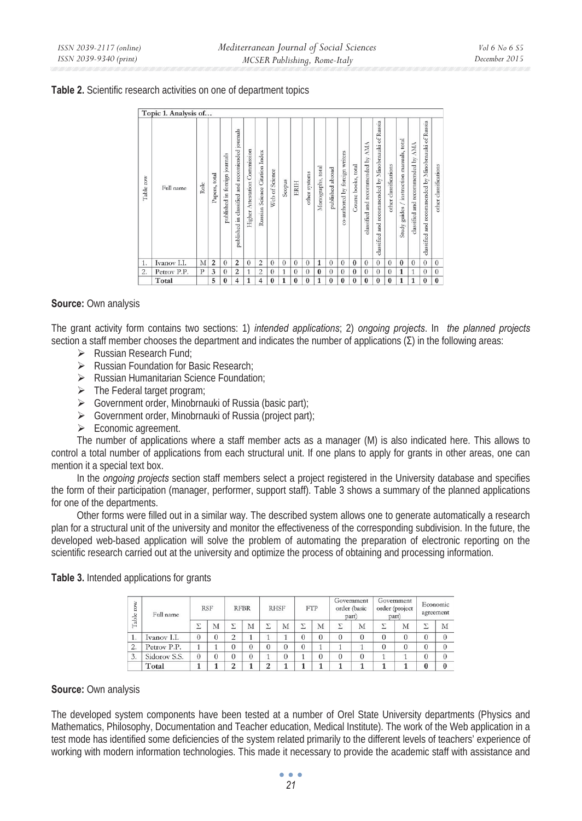|           | Topic 1. Analysis of |              |               |                               |                                                  |                               |                                |                |          |          |               |                   |                  |                                |                     |                                   |                                                     |                       |                                           |                                   |                                                     |                       |
|-----------|----------------------|--------------|---------------|-------------------------------|--------------------------------------------------|-------------------------------|--------------------------------|----------------|----------|----------|---------------|-------------------|------------------|--------------------------------|---------------------|-----------------------------------|-----------------------------------------------------|-----------------------|-------------------------------------------|-----------------------------------|-----------------------------------------------------|-----------------------|
| Table row | Full name            | Role         | Papers, total | published in foreign journals | published in classified and recomiended journals | Higher Attestation Commission | Russian Science Citation Index | Web of Science | Scopus   | ERIH     | other systems | Monographs, total | published abroad | co-authored by foreign writers | Course books, total | plassified and recommended by AMA | classified and recommended by Minobrnauki of Russia | other classifications | Study guides / instruction manuals, total | classified and recommended by AMA | classified and recommended by Minobrnauki of Russia | other classifications |
| 1.        | Ivanov I.I.          | M            | 2             | $\theta$                      | $\overline{c}$                                   | $\theta$                      | $\overline{2}$                 | $\theta$       | $\theta$ | $\theta$ | $\theta$      | 1                 | $\theta$         | $\theta$                       | $\theta$            | $\theta$                          | $\theta$                                            | $\theta$              | $\bf{0}$                                  | $\theta$                          | $\theta$                                            | $\Omega$              |
| 2.        | Petrov P.P.          | $\mathbf{P}$ | 3             | $\Omega$                      | $\overline{c}$                                   | 1                             | $\overline{c}$                 | $\Omega$       | 1        | $\Omega$ | $\Omega$      | $\mathbf{0}$      | $\Omega$         | $\Omega$                       | $\bf{0}$            | $\Omega$                          | $\Omega$                                            | $\Omega$              | 1                                         | 1                                 | $\theta$                                            | $\Omega$              |
|           | Total                |              | 5             | $\bf{0}$                      | 4                                                | $\mathbf{1}$                  | $\overline{4}$                 | $\bf{0}$       | 1        | $\bf{0}$ | $\bf{0}$      | 1                 | $\bf{0}$         | $\theta$                       | $\theta$            | $\bf{0}$                          | $\bf{0}$                                            | $\bf{0}$              | 1                                         | 1                                 | $\bf{0}$                                            | $\bf{0}$              |

### **Source:** Own analysis

The grant activity form contains two sections: 1) *intended applications*; 2) *ongoing projects*. In *the planned projects* section a staff member chooses the department and indicates the number of applications  $(\Sigma)$  in the following areas:

- $\triangleright$  Russian Research Fund:
- ¾ Russian Foundation for Basic Research;
- ¾ Russian Humanitarian Science Foundation;
- $\triangleright$  The Federal target program;
- ¾ Government order, Minobrnauki of Russia (basic part);
- ¾ Government order, Minobrnauki of Russia (project part);
- $\triangleright$  Economic agreement.

The number of applications where a staff member acts as a manager (M) is also indicated here. This allows to control a total number of applications from each structural unit. If one plans to apply for grants in other areas, one can mention it a special text box.

In the *ongoing projects* section staff members select a project registered in the University database and specifies the form of their participation (manager, performer, support staff). Table 3 shows a summary of the planned applications for one of the departments.

Other forms were filled out in a similar way. The described system allows one to generate automatically a research plan for a structural unit of the university and monitor the effectiveness of the corresponding subdivision. In the future, the developed web-based application will solve the problem of automating the preparation of electronic reporting on the scientific research carried out at the university and optimize the process of obtaining and processing information.

| row              | Full name    |          | <b>STATISTICS</b><br><b>RSF</b> |          | <b>RFBR</b>    |          | <b>RHSF</b>    |          | <b>FTP</b>     |                 | Government<br>order (basic<br>part) | part)    | Government<br>order (project | Economic<br>agreement |                |  |
|------------------|--------------|----------|---------------------------------|----------|----------------|----------|----------------|----------|----------------|-----------------|-------------------------------------|----------|------------------------------|-----------------------|----------------|--|
| Table            |              | Σ        | M                               | 7        | M              | v        | M              | Σ        | M              | $\triangledown$ | М                                   |          | M                            | Σ                     | M              |  |
| 1.               | Ivanov I.I.  | $\theta$ | 0                               | $\Omega$ |                |          |                | $\theta$ | $\theta$       | 0               | $\theta$                            | $\theta$ | $\theta$                     | $\theta$              | $\overline{0}$ |  |
| $\overline{2}$ . | Petrov P.P.  |          |                                 | 0        |                | $\theta$ | $\theta$       | $\theta$ |                |                 |                                     | $^{(1)}$ | 0                            | $\theta$              | $\theta$       |  |
| 3.               | Sidorov S.S. | $\Omega$ |                                 | 0        | $\overline{0}$ |          | $\overline{0}$ |          | $\overline{0}$ | 0               | $\theta$                            |          |                              | $\boldsymbol{0}$      | $\Omega$       |  |
|                  | Total        |          |                                 | ◠        |                | o        |                |          |                |                 |                                     |          |                              | $\bf{0}$              | $\bf{0}$       |  |

**Table 3.** Intended applications for grants

#### **Source:** Own analysis

The developed system components have been tested at a number of Orel State University departments (Physics and Mathematics, Philosophy, Documentation and Teacher education, Medical Institute). The work of the Web application in a test mode has identified some deficiencies of the system related primarily to the different levels of teachers' experience of working with modern information technologies. This made it necessary to provide the academic staff with assistance and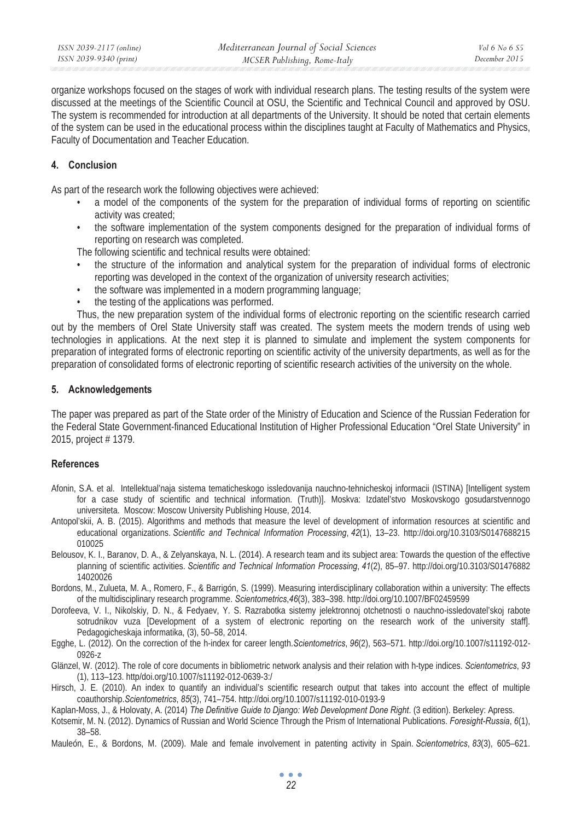organize workshops focused on the stages of work with individual research plans. The testing results of the system were discussed at the meetings of the Scientific Council at OSU, the Scientific and Technical Council and approved by OSU. The system is recommended for introduction at all departments of the University. It should be noted that certain elements of the system can be used in the educational process within the disciplines taught at Faculty of Mathematics and Physics, Faculty of Documentation and Teacher Education.

### **4. Conclusion**

As part of the research work the following objectives were achieved:

- a model of the components of the system for the preparation of individual forms of reporting on scientific activity was created;
- the software implementation of the system components designed for the preparation of individual forms of reporting on research was completed.

The following scientific and technical results were obtained:

- the structure of the information and analytical system for the preparation of individual forms of electronic reporting was developed in the context of the organization of university research activities;
- the software was implemented in a modern programming language;
- the testing of the applications was performed.

Thus, the new preparation system of the individual forms of electronic reporting on the scientific research carried out by the members of Orel State University staff was created. The system meets the modern trends of using web technologies in applications. At the next step it is planned to simulate and implement the system components for preparation of integrated forms of electronic reporting on scientific activity of the university departments, as well as for the preparation of consolidated forms of electronic reporting of scientific research activities of the university on the whole.

### **5. Acknowledgements**

The paper was prepared as part of the State order of the Ministry of Education and Science of the Russian Federation for the Federal State Government-financed Educational Institution of Higher Professional Education "Orel State University" in 2015, project # 1379.

### **References**

- Afonin, S.A. et al. Intellektual'naja sistema tematicheskogo issledovanija nauchno-tehnicheskoj informacii (ISTINA) [Intelligent system for a case study of scientific and technical information. (Truth)]. Moskva: Izdatel'stvo Moskovskogo gosudarstvennogo universiteta. Moscow: Moscow University Publishing House, 2014.
- Antopol'skii, A. B. (2015). Algorithms and methods that measure the level of development of information resources at scientific and educational organizations. *Scientific and Technical Information Processing*, *42*(1), 13–23. http://doi.org/10.3103/S0147688215 010025
- Belousov, K. I., Baranov, D. A., & Zelyanskaya, N. L. (2014). A research team and its subject area: Towards the question of the effective planning of scientific activities. *Scientific and Technical Information Processing*, *41*(2), 85–97. http://doi.org/10.3103/S01476882 14020026
- Bordons, M., Zulueta, M. A., Romero, F., & Barrigón, S. (1999). Measuring interdisciplinary collaboration within a university: The effects of the multidisciplinary research programme. *Scientometrics*,*46*(3), 383–398. http://doi.org/10.1007/BF02459599
- Dorofeeva, V. I., Nikolskiy, D. N., & Fedyaev, Y. S. Razrabotka sistemy jelektronnoj otchetnosti o nauchno-issledovatel'skoj rabote sotrudnikov vuza [Development of a system of electronic reporting on the research work of the university staff]. Pedagogicheskaja informatika, (3), 50–58, 2014.
- Egghe, L. (2012). On the correction of the h-index for career length.*Scientometrics*, *96*(2), 563–571. http://doi.org/10.1007/s11192-012- 0926-z
- Glänzel, W. (2012). The role of core documents in bibliometric network analysis and their relation with h-type indices. *Scientometrics*, *93*  (1), 113–123. http/doi.org/10.1007/s11192-012-0639-3:/
- Hirsch, J. E. (2010). An index to quantify an individual's scientific research output that takes into account the effect of multiple coauthorship.*Scientometrics*, *85*(3), 741–754. http://doi.org/10.1007/s11192-010-0193-9
- Kaplan-Moss, J., & Holovaty, A. (2014) *The Definitive Guide to Django: Web Development Done Right*. (3 edition). Berkeley: Apress.
- Kotsemir, M. N. (2012). Dynamics of Russian and World Science Through the Prism of International Publications. *Foresight-Russia*, *6*(1), 38–58.
- Mauleón, E., & Bordons, M. (2009). Male and female involvement in patenting activity in Spain. *Scientometrics*, *83*(3), 605–621.